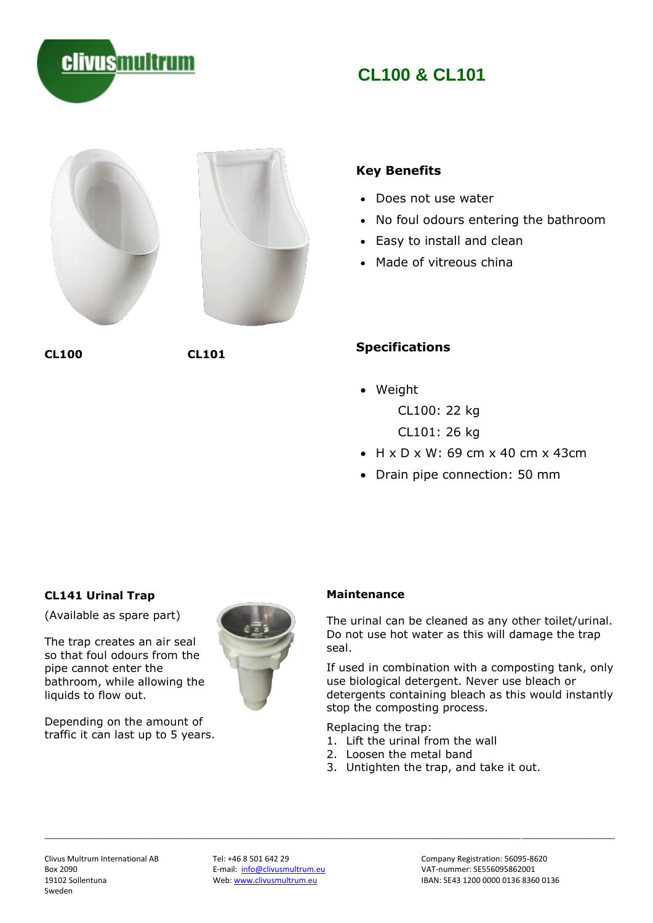

E-mail: [info@clivusmultrum.eu](mailto:info@clivusmultrum.eu)<br>Web: www.clivusmultrum.eu

## **CL141 Urinal Trap**

(Available as spare part)

The trap creates an air seal so that foul odours from the pipe cannot enter the bathroom, while allowing the liquids to flow out.

Depending on the amount of traffic it can last up to 5 years.

### **Maintenance**

The urinal can be cleaned as any other toilet/urinal. Do not use hot water as this will damage the trap seal.

If used in combination with a composting tank, only use biological detergent. Never use bleach or detergents containing bleach as this would instantly stop the composting process.

Replacing the trap:

- 1. Lift the urinal from the wall
- 2. Loosen the metal band
- 3. Untighten the trap, and take it out.

# • Weight

**Specifications**

CL100: 22 kg CL101: 26 kg

- H x D x W: 69 cm x 40 cm x 43cm
- Drain pipe connection: 50 mm

**CL100 CL101**



**clivusmultrum** 



# **CL100 & CL101**



- Does not use water
- No foul odours entering the bathroom
- Easy to install and clean
- Made of vitreous china